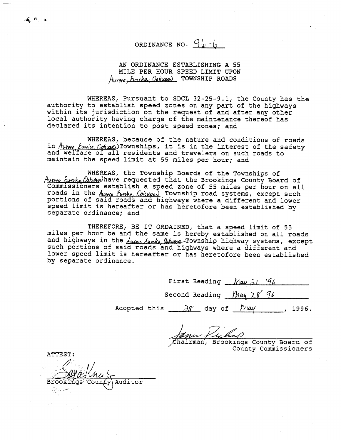# ORDINANCE NO.  $96 - 6$

AN ORDINANCE ESTABLISHING A 55  $\mathbb{R}$   $\mathbb{R}$   $\mathbb{R}$   $\mathbb{R}$   $\mathbb{R}$   $\mathbb{R}$   $\mathbb{R}$   $\mathbb{R}$   $\mathbb{R}$   $\mathbb{R}$   $\mathbb{R}$   $\mathbb{R}$   $\mathbb{R}$   $\mathbb{R}$   $\mathbb{R}$   $\mathbb{R}$   $\mathbb{R}$   $\mathbb{R}$   $\mathbb{R}$   $\mathbb{R}$   $\mathbb{R}$   $\mathbb{R}$   $\mathbb{R}$   $\mathbb{R}$   $\mathbb{$  $Huvova_f Cuvena_f$ 

WHEREAS, Pursuant to SDCL 32-25-9.1, the County has the declared its intention to post speed zones; and within its jurisdiction on t local authority having charge of the maintenance thereof has declared its intention to post speed zones; and

WHEREAS, because of the nature and conditions of roads in Auyere Eureka Opkuxes) Townships, it is in the interest of the safety and welfare of all residents and travelers on such roads to maintain the speed limit at roads in the / Township road systems, except such

WHEREAS, the Township Boards of the Townships of Autere Eurche Cakwa have requested that the Brookings County Board of Commissioners establish a speed zone of 55 miles per hour on all roads in the *Aume Eunke*, *Colcues*, Township road systems, except such portions of said roads and highways where a different and lower per dromb of bard found and i and highways in the ownship highway systems. separate ordinance; and

> THEREFORE, BE IT ORDAINED, that a speed limit of 55 miles per hour be and the same is hereby established on all roads and highways in the *Aures Junke Dekanne* Township highway systems, except<br>such portions of said roads and highways where a different and<br>lower speed limit is hereafter or has heretofore been established by separate ordinance.

> > First Reading May 21 '96 Second Reading May 28 96

Adopted this  $\frac{\lambda \gamma}{\lambda}$  day of  $\frac{May}{\lambda}$ , 1996.

Janus Pulad County Commissioners

ATTEST: Auditor

ORD INANCE NO.

 $\overline{\phantom{0}}$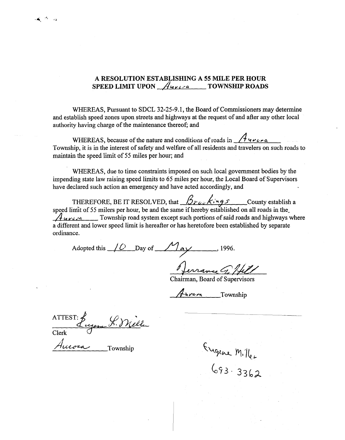## A RESOLUTION ESTABLISHING A 55 MILE PER HOUR SPEED LIMIT UPON  $\mathcal{A}_{\text{tree}}$  of all residents and travelers and travels and travels and travels and travels on such roads to all residents and travels and travels and travels and travels and travels are to all  $\mathcal{A}_{\text$

 WHEREAS, due to time constraints imposed on such local government bodies by the WHEREAS, Pursuant to SDCL 32-25-9.1, the Board of  $\mathfrak{c}$ and establish speed zones upon streets and highways at the request of and after any other local  $T$  , be it resolved, that ...  $\mathcal{L}$  is the solved, that ...  $\mathcal{L}$ 

 $\mathbf{W}$  speed limit of 55 miles per hour, began hour, behour, because if hereby established on all roads in the same in the same in the same in the same in the same in the same in the same in the same in the same in the  $MTEN23$ , because of the hattie and conditions of Township, it is in the interest of safety and welfare of all residents and travelers on such roads to maintain the speed limit of 55 miles per hour; and

> WHEREAS, due to time constraints imposed on such local government bodies by the impending state law raising speed limits to 65 miles per hour, the Local Board of Supervisors have declared such action an emergency and have acted accordingly, and

THEREFORE, BE IT RESOLVED, that  $\frac{\beta_{\text{rel}}\cdot\beta_{\text{rel}}}{\beta_{\text{rel}}}$  County establish a speed limit of 55 milers per hour, be and the same if hereby established on all roads in the  $\mathcal{A}_{\mathcal{U}}$   $\mathcal{U}_{\mathcal{U}}$   $\mathcal{U}_{\mathcal{U}}$  and  $\mathcal{U}_{\mathcal{U}}$  are a Township road system except such portions of said roads and highways where a different and lower speed limit is hereafter or has heretofore been established by separate ordinance.

Adopted this  $\sqrt{Q}$  Day of  $\frac{M_{\text{eV}}}{Q}$  $\frac{1996}{2}$ 

Chairman, Board of Supervisors

Furera Township

Eugene L. Mille **ATTEST** Clerk

Engene Miller<br>693-3362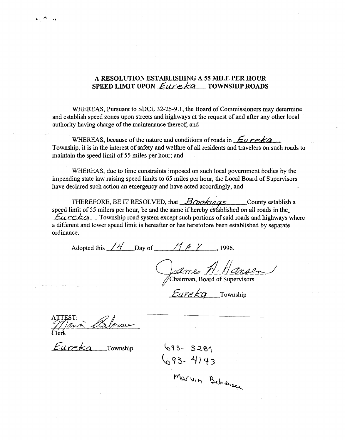### A RESOLUTION ESTABLISHING A 55 MILE PER HOUR SPEED LIMIT UPON  $Eurekq$  rownship roads

WHEREAS, Due to the to the time  $\mathbf{r}$ w reflected in the speed limits to  $\mu$  board of  $\mu$  miles per hour, the speed of  $\mu$ and establish speed zones upon streets and highways at the request of and after any other local authority having charge of the maintenance thereof; and

WHEREAS, because of the nature and conditions of roads in  $Eureka$ with roads of the hattle and conditions of said roads and highways where  $\frac{1}{2}$ I ownship, it is in the interest of safety and welfare of all resident

> WHEREAS, due to time constraints imposed on such local government bodies by the impending state law raising speed limits to 65 miles per hour, the Local Board of Supervisors have declared such action an emergency and have acted accordingly, and

THEREFORE, BE IT RESOLVED, that  $\frac{\cancel{B} \cancel{A} \cancel{A} \cancel{A}}{\cancel{B} \cancel{B}}$  County establish a speed limit of 55 milers per hour, be and the same if hereby established on all roads in the  $Eureka$  Township road system except such portions of said roads and highways where a different and lower speed limit is hereafter or has heretofore been established by separate ordinance.

Adopted this  $\angle$  H Day of  $\angle$  M A Y 1996.

James H. Hansen

Eurekg Township

Marvin Bebensee

 $693 - 3281$ 

 $693 - 4143$ 

YTh- ~H'+3

Therefore,  $B_{\rm eff}$  is respectively. The  $B_{\rm eff}$  establish as  $B_{\rm eff}$  establish as  $\alpha$ 

Eureka Township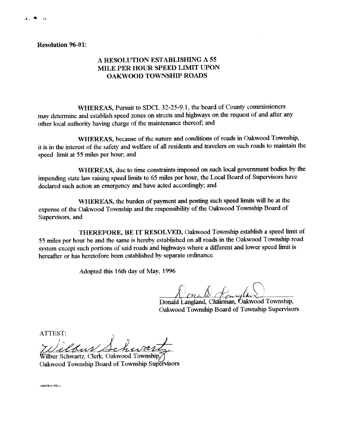#### **Resolution 96-01:**

#### WHEREAS, PURSUIT TO SOCIAL 32-25-9.1, the board of County commission of County commissioners of County commissioners of County commission in the board of County commission in the board of County commission in the county co  $\overline{A}$  RESOLUTION ESTABLISHING A  $\overline{S}$ MILE PER HOUR SPEED LIMIT UPON **OAKWOOD TOWNSHIP ROADS**

WHEREAS, Pursuit to SDCL 32-25-9.1, the board of County commissioners may determine and establish speed zones on streets and highways on the request of and after any other local authority having charge of the maintenance thereof; and

Whereas, the burden of payment and posting such speed limits will be at the at the speed limits will be at the at the at the speed limits will be at the speed limits will be at the speed limits will be at the speed limits where Township and the nature and conditions of the responsibility of the responsibility  $\mathbf{C}$ it is in the interest of the safety and welfare of all residents and travelers on such roads to maintain the speed limit at 55 miles per hour; and

 55 miles per hour be and the same is hereby established on all roads in the Oakwood Township road WHEREAS, due to time constraints imposed on such local impending state law raising speed limits to 65 miles per hour, the Local Board of Supervisors have declared such action an emergency and have acted accordingly; and

> WHEREAS, the burden of payment and posting such speed limits will be at the expense of the Oakwood Township and the responsibility of the Oakwood Township Board of Supervisors, and

THEREFORE, BE IT RESOLVED, Oakwood Township establish a speed limit of 55 miles per hour be and the same is hereby established on all roads in the Oakwood Township road system except such portions of said roads and highways where a different and lower speed limit is hereafter or has heretofore been established by separate ordinance. Oakwood Township Board of Township Supervisors

Adopted this 16th day of May, 1996

Donald Langland, Chairman, Oakwood Township, Oakwood Township Board of Township Supervisors

ATTEST:

Vilbur

Wilbur Schwartz, Clerk, Oakwood Township, Oakwood Township Board of Township Supervisors

oakwidres wks.c